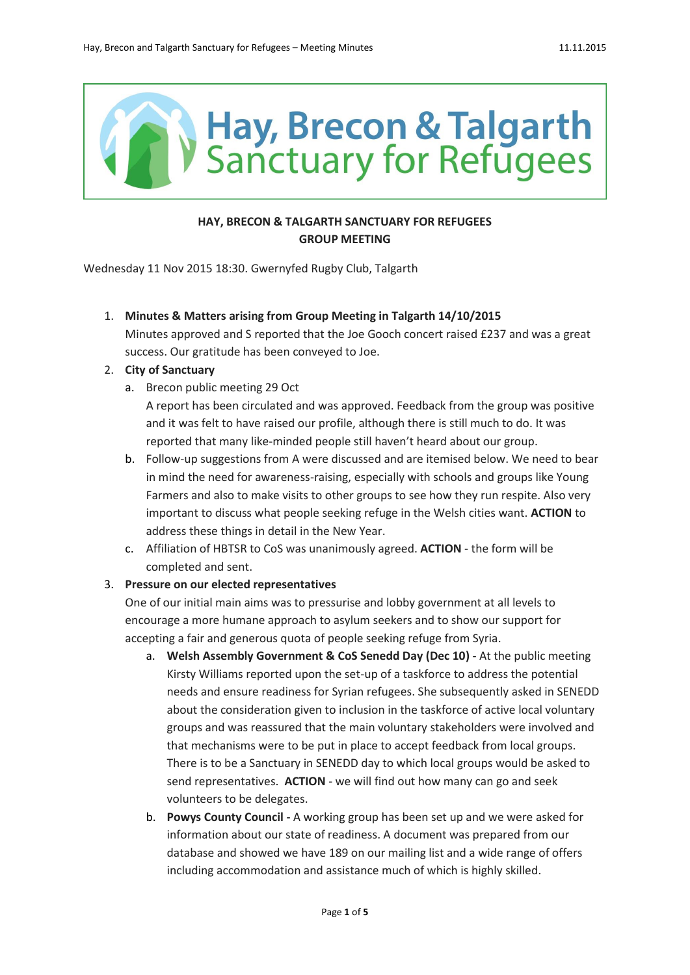

# **HAY, BRECON & TALGARTH SANCTUARY FOR REFUGEES GROUP MEETING**

Wednesday 11 Nov 2015 18:30. Gwernyfed Rugby Club, Talgarth

1. **Minutes & Matters arising from Group Meeting in Talgarth 14/10/2015**

Minutes approved and S reported that the Joe Gooch concert raised £237 and was a great success. Our gratitude has been conveyed to Joe.

#### 2. **City of Sanctuary**

a. Brecon public meeting 29 Oct

A report has been circulated and was approved. Feedback from the group was positive and it was felt to have raised our profile, although there is still much to do. It was reported that many like-minded people still haven't heard about our group.

- b. Follow-up suggestions from A were discussed and are itemised below. We need to bear in mind the need for awareness-raising, especially with schools and groups like Young Farmers and also to make visits to other groups to see how they run respite. Also very important to discuss what people seeking refuge in the Welsh cities want. **ACTION** to address these things in detail in the New Year.
- c. Affiliation of HBTSR to CoS was unanimously agreed. **ACTION** the form will be completed and sent.

## 3. **Pressure on our elected representatives**

One of our initial main aims was to pressurise and lobby government at all levels to encourage a more humane approach to asylum seekers and to show our support for accepting a fair and generous quota of people seeking refuge from Syria.

- a. **Welsh Assembly Government & CoS Senedd Day (Dec 10) -** At the public meeting Kirsty Williams reported upon the set-up of a taskforce to address the potential needs and ensure readiness for Syrian refugees. She subsequently asked in SENEDD about the consideration given to inclusion in the taskforce of active local voluntary groups and was reassured that the main voluntary stakeholders were involved and that mechanisms were to be put in place to accept feedback from local groups. There is to be a Sanctuary in SENEDD day to which local groups would be asked to send representatives. **ACTION** - we will find out how many can go and seek volunteers to be delegates.
- b. **Powys County Council -** A working group has been set up and we were asked for information about our state of readiness. A document was prepared from our database and showed we have 189 on our mailing list and a wide range of offers including accommodation and assistance much of which is highly skilled.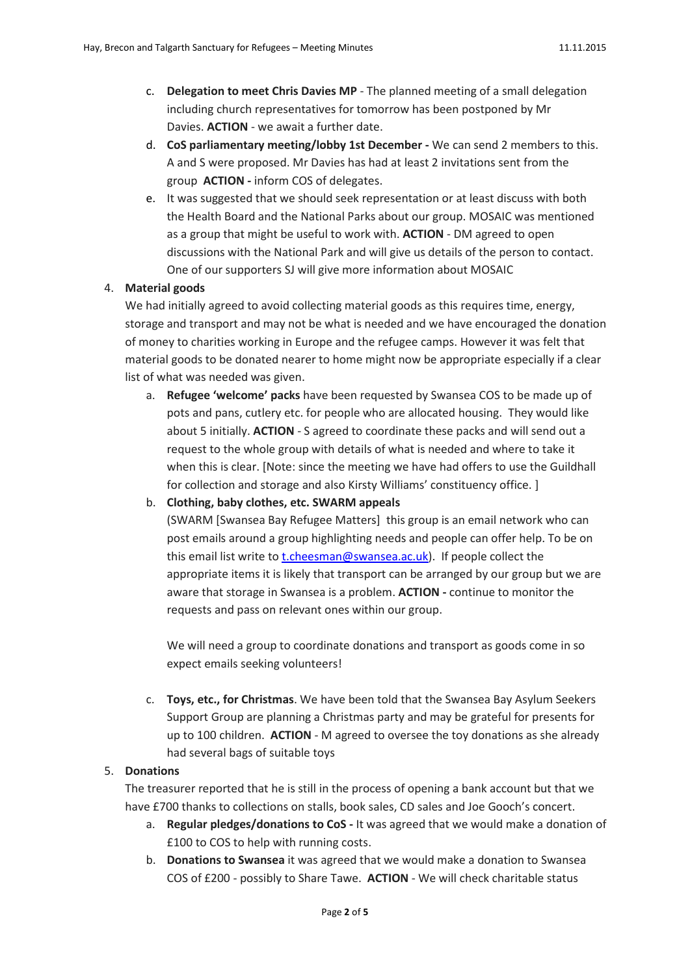- c. **Delegation to meet Chris Davies MP** The planned meeting of a small delegation including church representatives for tomorrow has been postponed by Mr Davies. **ACTION** - we await a further date.
- d. **CoS parliamentary meeting/lobby 1st December -** We can send 2 members to this. A and S were proposed. Mr Davies has had at least 2 invitations sent from the group **ACTION -** inform COS of delegates.
- e. It was suggested that we should seek representation or at least discuss with both the Health Board and the National Parks about our group. MOSAIC was mentioned as a group that might be useful to work with. **ACTION** - DM agreed to open discussions with the National Park and will give us details of the person to contact. One of our supporters SJ will give more information about MOSAIC

#### 4. **Material goods**

We had initially agreed to avoid collecting material goods as this requires time, energy, storage and transport and may not be what is needed and we have encouraged the donation of money to charities working in Europe and the refugee camps. However it was felt that material goods to be donated nearer to home might now be appropriate especially if a clear list of what was needed was given.

a. **Refugee 'welcome' packs** have been requested by Swansea COS to be made up of pots and pans, cutlery etc. for people who are allocated housing. They would like about 5 initially. **ACTION** - S agreed to coordinate these packs and will send out a request to the whole group with details of what is needed and where to take it when this is clear. [Note: since the meeting we have had offers to use the Guildhall for collection and storage and also Kirsty Williams' constituency office. ]

b. **Clothing, baby clothes, etc. SWARM appeals**

(SWARM [Swansea Bay Refugee Matters] this group is an email network who can post emails around a group highlighting needs and people can offer help. To be on this email list write to [t.cheesman@swansea.ac.uk\)](mailto:t.cheesman@swansea.ac.uk). If people collect the appropriate items it is likely that transport can be arranged by our group but we are aware that storage in Swansea is a problem. **ACTION -** continue to monitor the requests and pass on relevant ones within our group.

We will need a group to coordinate donations and transport as goods come in so expect emails seeking volunteers!

c. **Toys, etc., for Christmas**. We have been told that the Swansea Bay Asylum Seekers Support Group are planning a Christmas party and may be grateful for presents for up to 100 children. **ACTION** - M agreed to oversee the toy donations as she already had several bags of suitable toys

#### 5. **Donations**

The treasurer reported that he is still in the process of opening a bank account but that we have £700 thanks to collections on stalls, book sales, CD sales and Joe Gooch's concert.

- a. **Regular pledges/donations to CoS -** It was agreed that we would make a donation of £100 to COS to help with running costs.
- b. **Donations to Swansea** it was agreed that we would make a donation to Swansea COS of £200 - possibly to Share Tawe. **ACTION** - We will check charitable status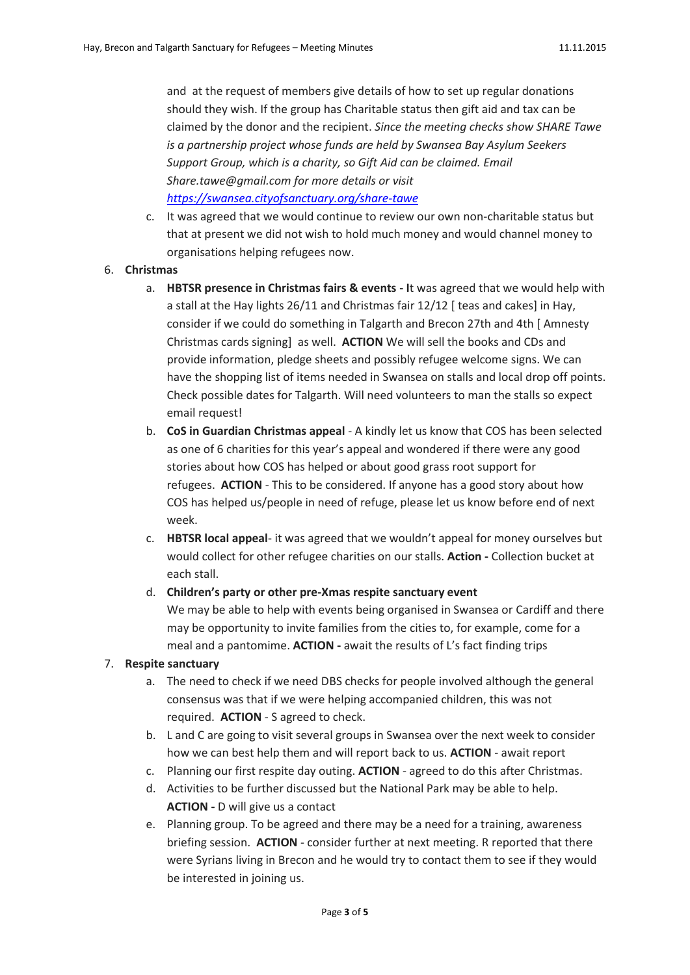and at the request of members give details of how to set up regular donations should they wish. If the group has Charitable status then gift aid and tax can be claimed by the donor and the recipient. *Since the meeting checks show SHARE Tawe is a partnership project whose funds are held by Swansea Bay Asylum Seekers Support Group, which is a charity, so Gift Aid can be claimed. Email Share.tawe@gmail.com for more details or visit <https://swansea.cityofsanctuary.org/share-tawe>*

c. It was agreed that we would continue to review our own non-charitable status but that at present we did not wish to hold much money and would channel money to organisations helping refugees now.

## 6. **Christmas**

- a. **HBTSR presence in Christmas fairs & events - I**t was agreed that we would help with a stall at the Hay lights 26/11 and Christmas fair 12/12 [ teas and cakes] in Hay, consider if we could do something in Talgarth and Brecon 27th and 4th [ Amnesty Christmas cards signing] as well. **ACTION** We will sell the books and CDs and provide information, pledge sheets and possibly refugee welcome signs. We can have the shopping list of items needed in Swansea on stalls and local drop off points. Check possible dates for Talgarth. Will need volunteers to man the stalls so expect email request!
- b. **CoS in Guardian Christmas appeal** A kindly let us know that COS has been selected as one of 6 charities for this year's appeal and wondered if there were any good stories about how COS has helped or about good grass root support for refugees. **ACTION** - This to be considered. If anyone has a good story about how COS has helped us/people in need of refuge, please let us know before end of next week.
- c. **HBTSR local appeal** it was agreed that we wouldn't appeal for money ourselves but would collect for other refugee charities on our stalls. **Action -** Collection bucket at each stall.

## d. **Children's party or other pre-Xmas respite sanctuary event**

We may be able to help with events being organised in Swansea or Cardiff and there may be opportunity to invite families from the cities to, for example, come for a meal and a pantomime. **ACTION -** await the results of L's fact finding trips

## 7. **Respite sanctuary**

- a. The need to check if we need DBS checks for people involved although the general consensus was that if we were helping accompanied children, this was not required. **ACTION** - S agreed to check.
- b. L and C are going to visit several groups in Swansea over the next week to consider how we can best help them and will report back to us. **ACTION** - await report
- c. Planning our first respite day outing. **ACTION** agreed to do this after Christmas.
- d. Activities to be further discussed but the National Park may be able to help. **ACTION -** D will give us a contact
- e. Planning group. To be agreed and there may be a need for a training, awareness briefing session. **ACTION** - consider further at next meeting. R reported that there were Syrians living in Brecon and he would try to contact them to see if they would be interested in joining us.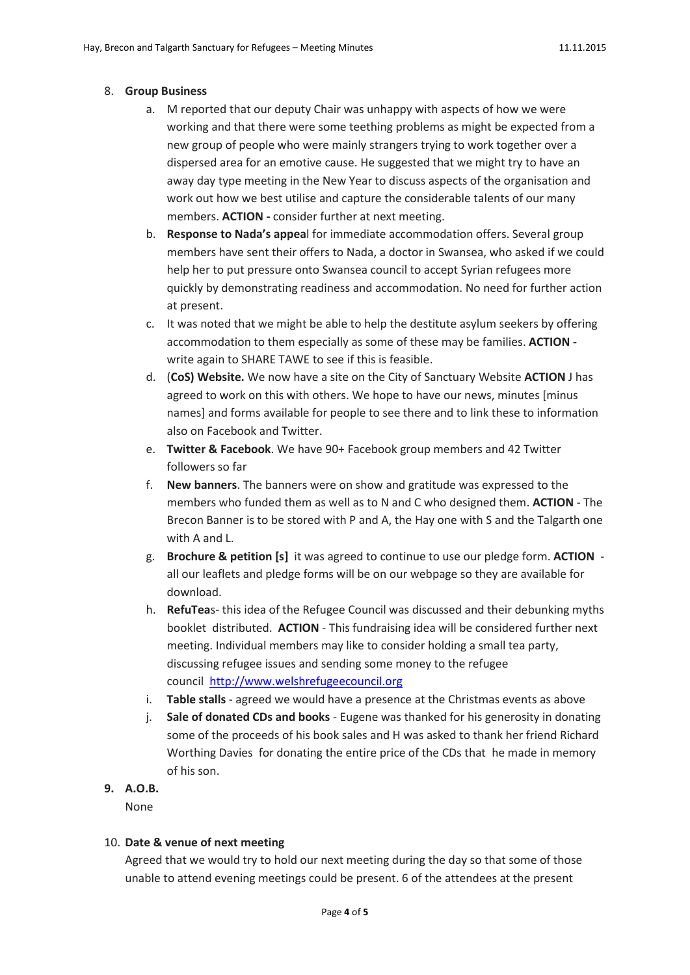#### 8. **Group Business**

- a. M reported that our deputy Chair was unhappy with aspects of how we were working and that there were some teething problems as might be expected from a new group of people who were mainly strangers trying to work together over a dispersed area for an emotive cause. He suggested that we might try to have an away day type meeting in the New Year to discuss aspects of the organisation and work out how we best utilise and capture the considerable talents of our many members. **ACTION -** consider further at next meeting.
- b. **Response to Nada's appea**l for immediate accommodation offers. Several group members have sent their offers to Nada, a doctor in Swansea, who asked if we could help her to put pressure onto Swansea council to accept Syrian refugees more quickly by demonstrating readiness and accommodation. No need for further action at present.
- c. It was noted that we might be able to help the destitute asylum seekers by offering accommodation to them especially as some of these may be families. **ACTION**  write again to SHARE TAWE to see if this is feasible.
- d. (**CoS) Website.** We now have a site on the City of Sanctuary Website **ACTION** J has agreed to work on this with others. We hope to have our news, minutes [minus names] and forms available for people to see there and to link these to information also on Facebook and Twitter.
- e. **Twitter & Facebook**. We have 90+ Facebook group members and 42 Twitter followers so far
- f. **New banners**. The banners were on show and gratitude was expressed to the members who funded them as well as to N and C who designed them. **ACTION** - The Brecon Banner is to be stored with P and A, the Hay one with S and the Talgarth one with A and L.
- g. **Brochure & petition [s]** it was agreed to continue to use our pledge form. **ACTION** all our leaflets and pledge forms will be on our webpage so they are available for download.
- h. **RefuTea**s- this idea of the Refugee Council was discussed and their debunking myths booklet distributed. **ACTION** - This fundraising idea will be considered further next meeting. Individual members may like to consider holding a small tea party, discussing refugee issues and sending some money to the refugee council [http://www.welshrefugeecouncil.org](http://www.welshrefugeecouncil.org/)
- i. **Table stalls** agreed we would have a presence at the Christmas events as above
- j. **Sale of donated CDs and books** Eugene was thanked for his generosity in donating some of the proceeds of his book sales and H was asked to thank her friend Richard Worthing Davies for donating the entire price of the CDs that he made in memory of his son.
- **9. A.O.B.**

None

## 10. **Date & venue of next meeting**

Agreed that we would try to hold our next meeting during the day so that some of those unable to attend evening meetings could be present. 6 of the attendees at the present